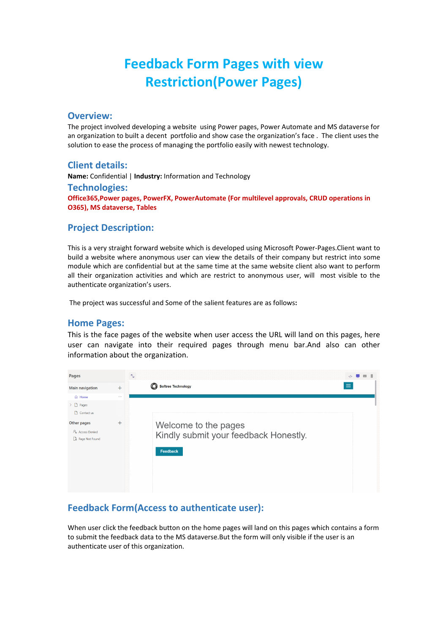# **Feedback Form Pages with view Restriction(Power Pages)**

#### **Overview:**

The project involved developing a website using Power pages, Power Automate and MS dataverse for an organization to built a decent portfolio and show case the organization's face . The client uses the solution to ease the process of managing the portfolio easily with newest technology.

### **Client details:**

**Name:** Confidential | **Industry:** Information and Technology **Technologies: Office365,Power pages, PowerFX, PowerAutomate (For multilevel approvals, CRUD operations in O365), MS dataverse, Tables**

#### **Project Description:**

This is a very straight forward website which is developed using Microsoft Power-Pages.Client want to build a website where anonymous user can view the details of their company but restrict into some module which are confidential but at the same time at the same website client also want to perform all their organization activities and which are restrict to anonymous user, will most visible to the authenticate organization's users.

The project was successful and Some of the salient features are as follows**:**

#### **Home Pages:**

This is the face pages of the website when user access the URL will land on this pages, here user can navigate into their required pages through menu bar.And also can other information about the organization.

| <b>Pages</b>                                                                                                   |                    | $\langle$ />                                                              |  |
|----------------------------------------------------------------------------------------------------------------|--------------------|---------------------------------------------------------------------------|--|
| Main navigation<br>$+$                                                                                         |                    | $\equiv$<br>$\circledcirc$<br><b>Softree Technology</b>                   |  |
| n Home<br>$\sum$ Pages<br>Contact us<br>Other pages<br>P <sub>®</sub> Access Denied<br><b>B</b> Page Not Found | $\cdots$<br>$^{+}$ | Welcome to the pages<br>Kindly submit your feedback Honestly.<br>Feedback |  |

# **Feedback Form(Access to authenticate user):**

When user click the feedback button on the home pages will land on this pages which contains a form to submit the feedback data to the MS dataverse.But the form will only visible if the user is an authenticate user of this organization.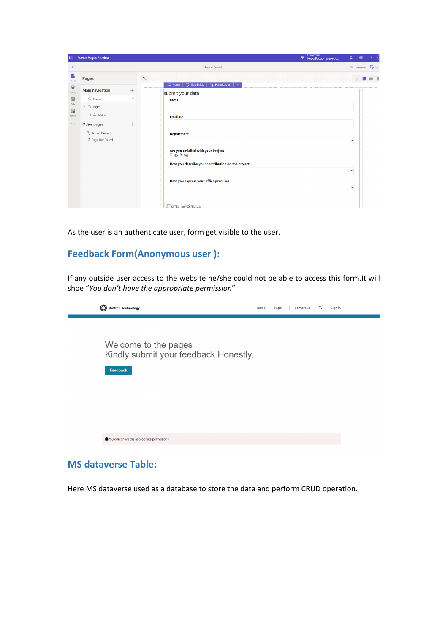| 扭                                  | Power Pages Preview         |          | Environment<br><b>B</b> PowerPagesPreview-05                                         | $\Omega$     | ⊗                 |       |
|------------------------------------|-----------------------------|----------|--------------------------------------------------------------------------------------|--------------|-------------------|-------|
| $\Omega$                           |                             |          | demo - Saved                                                                         |              | o Preview         | d Syr |
| Ŀ<br>Pages                         | <b>Pages</b>                |          | $\mathcal{R}_{\Delta}$                                                               |              | $\langle \rangle$ |       |
| $\overline{\mathbb{G}}$<br>Styling | Main navigation             | $^{+}$   | $\frac{6}{20}$ Permissions<br>$\Box$ Edit fields<br>$8 = 5$ Form<br>submit your data |              |                   |       |
| $\boxplus$<br>Data                 | d Home                      | $\cdots$ | name                                                                                 |              |                   |       |
| 扇<br>Set up                        | $\sum$ Pages<br>Contact us  |          | <b>Email ID</b>                                                                      |              |                   |       |
| $\cdots$                           | Other pages                 | $^{+}$   |                                                                                      |              |                   |       |
|                                    | $P_{\otimes}$ Access Denied |          | <b>Department</b>                                                                    |              |                   |       |
|                                    | <b>B</b> Page Not Found     |          |                                                                                      | $\checkmark$ |                   |       |
|                                    |                             |          | Are you satisfied with your Project<br>$\circ$ No $\bullet$ Yes                      |              |                   |       |
|                                    |                             |          | How you describe your contribution on the project.                                   |              |                   |       |
|                                    |                             |          |                                                                                      | $\checkmark$ |                   |       |
|                                    |                             |          | How you express your office premises                                                 | $\checkmark$ |                   |       |
|                                    |                             |          |                                                                                      |              |                   |       |
|                                    |                             |          |                                                                                      |              |                   |       |

As the user is an authenticate user, form get visible to the user.

# **Feedback Form(Anonymous user ):**

If any outside user access to the website he/she could not be able to access this form.It will shoe "*You don't have the appropriate permission*"

| Q<br><b>Softree Technology</b>                                            | Q<br>Pages $\star$ Contact us<br>Sign in<br>Home |  |
|---------------------------------------------------------------------------|--------------------------------------------------|--|
| Welcome to the pages<br>Kindly submit your feedback Honestly.<br>Feedback |                                                  |  |
| You don't have the appropriate permissions.                               |                                                  |  |

## **MS dataverse Table:**

Here MS dataverse used as a database to store the data and perform CRUD operation.